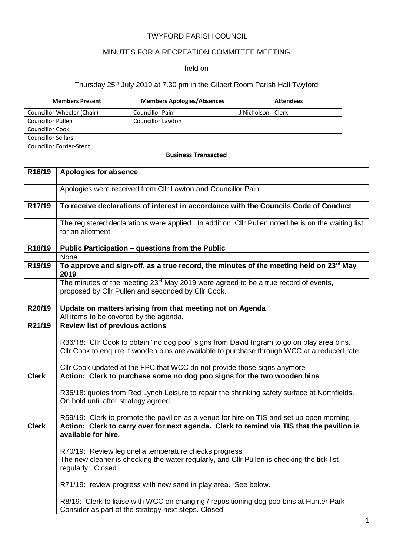### TWYFORD PARISH COUNCIL

## MINUTES FOR A RECREATION COMMITTEE MEETING

#### held on

# Thursday 25<sup>th</sup> July 2019 at 7.30 pm in the Gilbert Room Parish Hall Twyford

| <b>Members Present</b>     | <b>Members Apologies/Absences</b> | <b>Attendees</b>    |
|----------------------------|-----------------------------------|---------------------|
| Councillor Wheeler (Chair) | <b>Councillor Pain</b>            | J Nicholson - Clerk |
| <b>Councillor Pullen</b>   | <b>Councillor Lawton</b>          |                     |
| <b>Councillor Cook</b>     |                                   |                     |
| <b>Councillor Sellars</b>  |                                   |                     |
| Councillor Forder-Stent    |                                   |                     |

#### **Business Transacted**

| R16/19       | Apologies for absence                                                                                                                                                                                        |
|--------------|--------------------------------------------------------------------------------------------------------------------------------------------------------------------------------------------------------------|
|              | Apologies were received from Cllr Lawton and Councillor Pain                                                                                                                                                 |
| R17/19       | To receive declarations of interest in accordance with the Councils Code of Conduct                                                                                                                          |
|              | The registered declarations were applied. In addition, Cllr Pullen noted he is on the waiting list<br>for an allotment.                                                                                      |
| R18/19       | Public Participation - questions from the Public                                                                                                                                                             |
|              | <b>None</b>                                                                                                                                                                                                  |
| R19/19       | To approve and sign-off, as a true record, the minutes of the meeting held on 23rd May<br>2019                                                                                                               |
|              | The minutes of the meeting 23 <sup>rd</sup> May 2019 were agreed to be a true record of events,<br>proposed by Cllr Pullen and seconded by Cllr Cook.                                                        |
| R20/19       | Update on matters arising from that meeting not on Agenda                                                                                                                                                    |
|              | All items to be covered by the agenda.                                                                                                                                                                       |
| R21/19       | <b>Review list of previous actions</b>                                                                                                                                                                       |
|              | R36/18: Cllr Cook to obtain "no dog poo" signs from David Ingram to go on play area bins.<br>Cllr Cook to enquire if wooden bins are available to purchase through WCC at a reduced rate.                    |
| <b>Clerk</b> | Cllr Cook updated at the FPC that WCC do not provide those signs anymore<br>Action: Clerk to purchase some no dog poo signs for the two wooden bins                                                          |
|              | R36/18: quotes from Red Lynch Leisure to repair the shrinking safety surface at Northfields.<br>On hold until after strategy agreed.                                                                         |
| <b>Clerk</b> | R59/19: Clerk to promote the pavilion as a venue for hire on TIS and set up open morning<br>Action: Clerk to carry over for next agenda. Clerk to remind via TIS that the pavilion is<br>available for hire. |
|              | R70/19: Review legionella temperature checks progress<br>The new cleaner is checking the water regularly, and Cllr Pullen is checking the tick list<br>regularly. Closed.                                    |
|              | R71/19: review progress with new sand in play area. See below.                                                                                                                                               |
|              | R8/19: Clerk to liaise with WCC on changing / repositioning dog poo bins at Hunter Park<br>Consider as part of the strategy next steps. Closed.                                                              |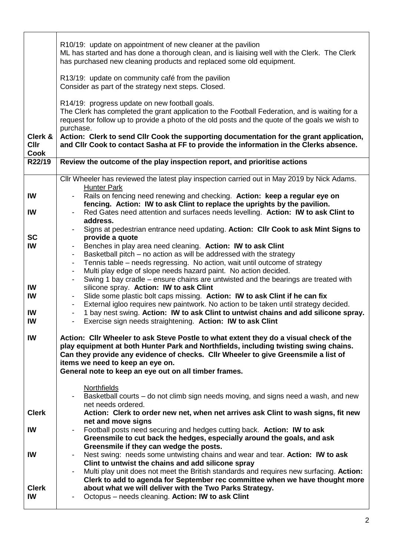|                     | R10/19: update on appointment of new cleaner at the pavilion<br>ML has started and has done a thorough clean, and is liaising well with the Clerk. The Clerk<br>has purchased new cleaning products and replaced some old equipment.                                                                                                                             |
|---------------------|------------------------------------------------------------------------------------------------------------------------------------------------------------------------------------------------------------------------------------------------------------------------------------------------------------------------------------------------------------------|
|                     | R13/19: update on community café from the pavilion<br>Consider as part of the strategy next steps. Closed.                                                                                                                                                                                                                                                       |
| Clerk &             | R14/19: progress update on new football goals.<br>The Clerk has completed the grant application to the Football Federation, and is waiting for a<br>request for follow up to provide a photo of the old posts and the quote of the goals we wish to<br>purchase.<br>Action: Clerk to send Cllr Cook the supporting documentation for the grant application,      |
| <b>Cllr</b><br>Cook | and CIIr Cook to contact Sasha at FF to provide the information in the Clerks absence.                                                                                                                                                                                                                                                                           |
| R22/19              | Review the outcome of the play inspection report, and prioritise actions                                                                                                                                                                                                                                                                                         |
|                     | CIIr Wheeler has reviewed the latest play inspection carried out in May 2019 by Nick Adams.<br><b>Hunter Park</b>                                                                                                                                                                                                                                                |
| IW<br>IW            | Rails on fencing need renewing and checking. Action: keep a regular eye on<br>fencing. Action: IW to ask Clint to replace the uprights by the pavilion.<br>Red Gates need attention and surfaces needs levelling. Action: IW to ask Clint to                                                                                                                     |
|                     | address.<br>Signs at pedestrian entrance need updating. Action: Cllr Cook to ask Mint Signs to                                                                                                                                                                                                                                                                   |
| <b>SC</b>           | provide a quote                                                                                                                                                                                                                                                                                                                                                  |
| IW                  | Benches in play area need cleaning. Action: IW to ask Clint<br>Basketball pitch - no action as will be addressed with the strategy                                                                                                                                                                                                                               |
|                     | Tennis table – needs regressing. No action, wait until outcome of strategy<br>$\overline{\phantom{0}}$                                                                                                                                                                                                                                                           |
|                     | Multi play edge of slope needs hazard paint. No action decided.<br>Swing 1 bay cradle – ensure chains are untwisted and the bearings are treated with                                                                                                                                                                                                            |
| IW                  | silicone spray. Action: IW to ask Clint                                                                                                                                                                                                                                                                                                                          |
| IW                  | Slide some plastic bolt caps missing. Action: IW to ask Clint if he can fix<br>External igloo requires new paintwork. No action to be taken until strategy decided.<br>$\sim$ $-$                                                                                                                                                                                |
| IW                  | 1 bay nest swing. Action: IW to ask Clint to untwist chains and add silicone spray.<br>$\blacksquare$                                                                                                                                                                                                                                                            |
| IW                  | Exercise sign needs straightening. Action: IW to ask Clint<br>$\overline{\phantom{a}}$                                                                                                                                                                                                                                                                           |
| IW                  | Action: Cllr Wheeler to ask Steve Postle to what extent they do a visual check of the<br>play equipment at both Hunter Park and Northfields, including twisting swing chains.<br>Can they provide any evidence of checks. Cllr Wheeler to give Greensmile a list of<br>items we need to keep an eye on.<br>General note to keep an eye out on all timber frames. |
|                     | <b>Northfields</b>                                                                                                                                                                                                                                                                                                                                               |
|                     | Basketball courts – do not climb sign needs moving, and signs need a wash, and new                                                                                                                                                                                                                                                                               |
| <b>Clerk</b>        | net needs ordered.<br>Action: Clerk to order new net, when net arrives ask Clint to wash signs, fit new                                                                                                                                                                                                                                                          |
|                     | net and move signs                                                                                                                                                                                                                                                                                                                                               |
| IW                  | Football posts need securing and hedges cutting back. Action: IW to ask<br>Greensmile to cut back the hedges, especially around the goals, and ask<br>Greensmile if they can wedge the posts.                                                                                                                                                                    |
| IW                  | Nest swing: needs some untwisting chains and wear and tear. Action: IW to ask                                                                                                                                                                                                                                                                                    |
|                     | Clint to untwist the chains and add silicone spray<br>Multi play unit does not meet the British standards and requires new surfacing. Action:                                                                                                                                                                                                                    |
| <b>Clerk</b><br>IW  | Clerk to add to agenda for September rec committee when we have thought more<br>about what we will deliver with the Two Parks Strategy.<br>Octopus - needs cleaning. Action: IW to ask Clint                                                                                                                                                                     |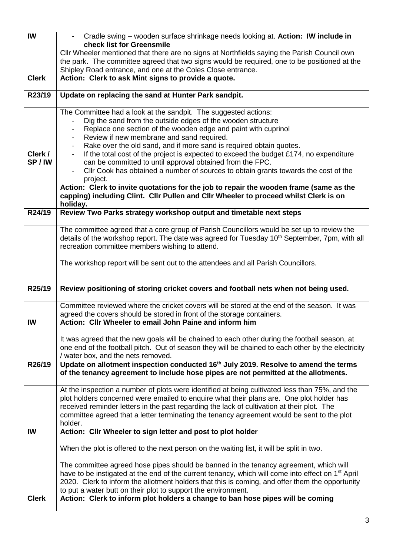| IW           | Cradle swing - wooden surface shrinkage needs looking at. Action: IW include in                                                                                                                     |
|--------------|-----------------------------------------------------------------------------------------------------------------------------------------------------------------------------------------------------|
|              | check list for Greensmile                                                                                                                                                                           |
|              | CIIr Wheeler mentioned that there are no signs at Northfields saying the Parish Council own                                                                                                         |
|              | the park. The committee agreed that two signs would be required, one to be positioned at the                                                                                                        |
|              | Shipley Road entrance, and one at the Coles Close entrance.                                                                                                                                         |
| <b>Clerk</b> | Action: Clerk to ask Mint signs to provide a quote.                                                                                                                                                 |
| R23/19       | Update on replacing the sand at Hunter Park sandpit.                                                                                                                                                |
|              | The Committee had a look at the sandpit. The suggested actions:                                                                                                                                     |
|              | Dig the sand from the outside edges of the wooden structure                                                                                                                                         |
|              | Replace one section of the wooden edge and paint with cuprinol                                                                                                                                      |
|              | Review if new membrane and sand required.                                                                                                                                                           |
|              | Rake over the old sand, and if more sand is required obtain quotes.                                                                                                                                 |
| Clerk /      | If the total cost of the project is expected to exceed the budget £174, no expenditure                                                                                                              |
| SP/IW        | can be committed to until approval obtained from the FPC.                                                                                                                                           |
|              | Cllr Cook has obtained a number of sources to obtain grants towards the cost of the<br>project.                                                                                                     |
|              | Action: Clerk to invite quotations for the job to repair the wooden frame (same as the                                                                                                              |
|              | capping) including Clint. Cllr Pullen and Cllr Wheeler to proceed whilst Clerk is on<br>holiday.                                                                                                    |
| R24/19       | Review Two Parks strategy workshop output and timetable next steps                                                                                                                                  |
|              |                                                                                                                                                                                                     |
|              | The committee agreed that a core group of Parish Councillors would be set up to review the                                                                                                          |
|              | details of the workshop report. The date was agreed for Tuesday 10 <sup>th</sup> September, 7pm, with all                                                                                           |
|              | recreation committee members wishing to attend.                                                                                                                                                     |
|              | The workshop report will be sent out to the attendees and all Parish Councillors.                                                                                                                   |
|              |                                                                                                                                                                                                     |
| R25/19       | Review positioning of storing cricket covers and football nets when not being used.                                                                                                                 |
|              |                                                                                                                                                                                                     |
|              | Committee reviewed where the cricket covers will be stored at the end of the season. It was                                                                                                         |
|              | agreed the covers should be stored in front of the storage containers.                                                                                                                              |
| IW           | Action: Cllr Wheeler to email John Paine and inform him                                                                                                                                             |
|              |                                                                                                                                                                                                     |
|              | It was agreed that the new goals will be chained to each other during the football season, at<br>one end of the football pitch. Out of season they will be chained to each other by the electricity |
|              | / water box, and the nets removed.                                                                                                                                                                  |
| R26/19       | Update on allotment inspection conducted 16 <sup>th</sup> July 2019. Resolve to amend the terms                                                                                                     |
|              | of the tenancy agreement to include hose pipes are not permitted at the allotments.                                                                                                                 |
|              | At the inspection a number of plots were identified at being cultivated less than 75%, and the                                                                                                      |
|              | plot holders concerned were emailed to enquire what their plans are. One plot holder has                                                                                                            |
|              | received reminder letters in the past regarding the lack of cultivation at their plot. The                                                                                                          |
|              | committee agreed that a letter terminating the tenancy agreement would be sent to the plot                                                                                                          |
|              | holder.                                                                                                                                                                                             |
| IW           | Action: Cllr Wheeler to sign letter and post to plot holder                                                                                                                                         |
|              | When the plot is offered to the next person on the waiting list, it will be split in two.                                                                                                           |
|              | The committee agreed hose pipes should be banned in the tenancy agreement, which will                                                                                                               |
|              | have to be instigated at the end of the current tenancy, which will come into effect on 1 <sup>st</sup> April                                                                                       |
|              | 2020. Clerk to inform the allotment holders that this is coming, and offer them the opportunity                                                                                                     |
|              | to put a water butt on their plot to support the environment.                                                                                                                                       |
| <b>Clerk</b> | Action: Clerk to inform plot holders a change to ban hose pipes will be coming                                                                                                                      |
|              |                                                                                                                                                                                                     |